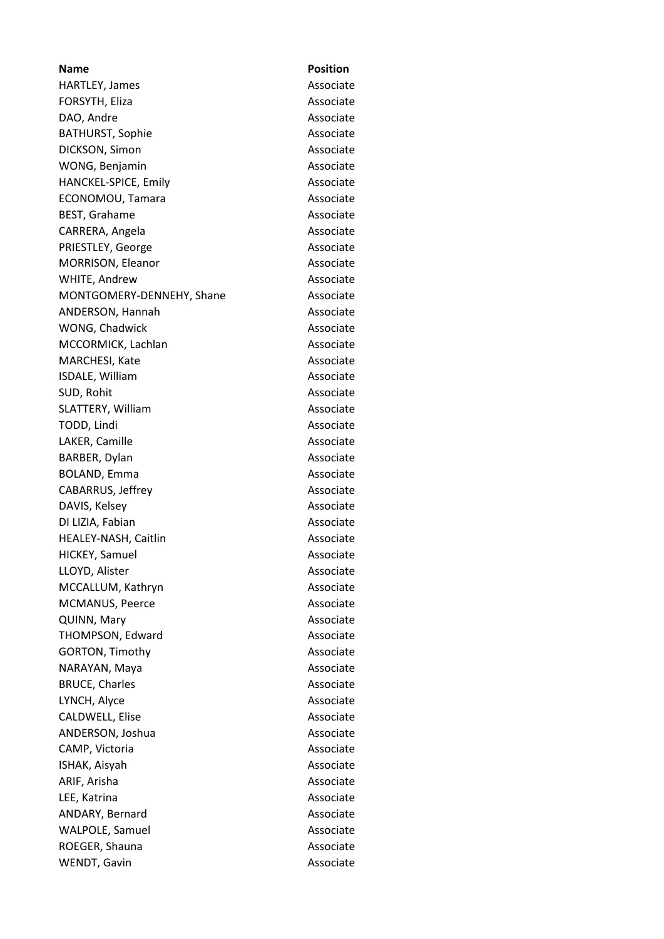**Name Position** HARTLEY, James **Associate** FORSYTH, Eliza Associate DAO, Andre **Associate** BATHURST, Sophie Associate DICKSON, Simon Associate WONG, Benjamin Associate HANCKEL-SPICE, Emily **Associate** ECONOMOU, Tamara Associate BEST, Grahame Associate CARRERA, Angela Associate PRIESTLEY, George Associate MORRISON, Eleanor Associate WHITE, Andrew Associate MONTGOMERY-DENNEHY, Shane Associate ANDERSON, Hannah Associate WONG, Chadwick Associate MCCORMICK, Lachlan Associate MARCHESI, Kate Associate ISDALE, William Associate SUD, Rohit Associate SLATTERY, William Associate TODD, Lindi Associate LAKER, Camille **Associate** BARBER, Dylan Associate BOLAND, Emma Associate CABARRUS, Jeffrey **Associate** DAVIS, Kelsey **Associate** DI LIZIA, Fabian Associate HEALEY-NASH, Caitlin Associate HICKEY, Samuel **Associate** LLOYD, Alister Associate MCCALLUM, Kathryn Associate MCMANUS, Peerce Associate QUINN, Mary **Associate** THOMPSON, Edward Associate GORTON, Timothy **Associate** NARAYAN, Maya **Associate** BRUCE, Charles **Associate** LYNCH, Alyce Associate CALDWELL, Elise Associate ANDERSON, Joshua Associate CAMP, Victoria **Associate** ISHAK, Aisyah Associate ARIF, Arisha Associate LEE, Katrina Associate ANDARY, Bernard Associate WALPOLE, Samuel **Associate** ROEGER, Shauna **Associate** WENDT, Gavin **Associate**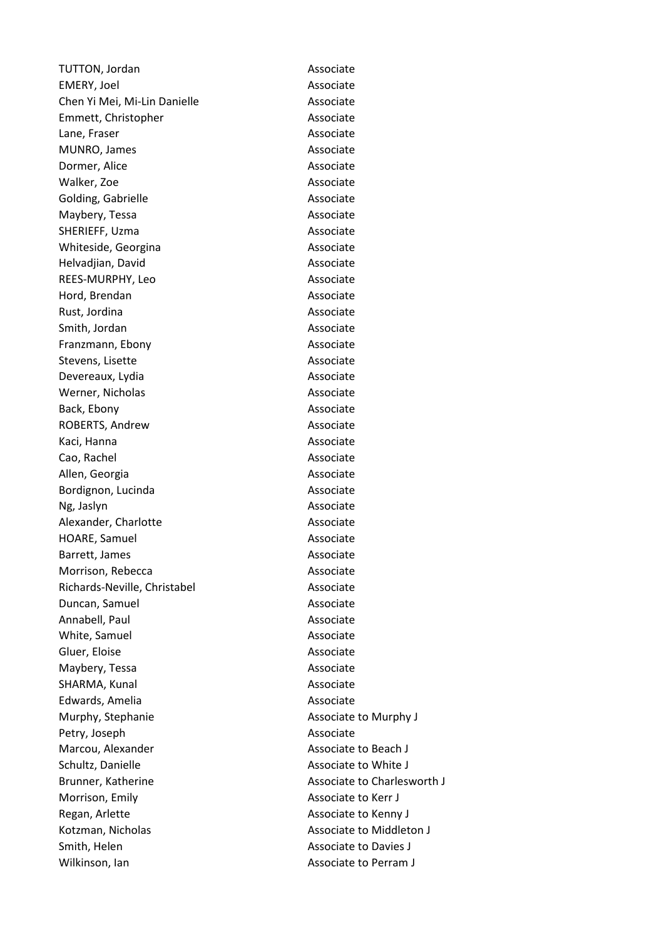TUTTON. Jordan Associate EMERY, Joel **Associate** Chen Yi Mei, Mi-Lin Danielle Associate Emmett. Christopher Associate Lane, Fraser **Associate** MUNRO, James **Associate** Dormer, Alice Associate Walker, Zoe **Associate** Golding, Gabrielle **Associate** Maybery, Tessa Associate SHERIEFF, Uzma Associate Whiteside, Georgina **Associate** Helvadjian, David Associate REES-MURPHY, Leo Associate Hord, Brendan Associate Rust, Jordina **Associate** Smith, Jordan **Associate** Franzmann, Ebony **Associate** Stevens, Lisette **Associate** Devereaux, Lydia Associate Werner, Nicholas **Associate** Back, Ebony **Associate** ROBERTS, Andrew Associate Kaci, Hanna Associate Cao, Rachel **Associate** Allen, Georgia **Associate** Associate Bordignon, Lucinda Associate Ng, Jaslyn Associate Alexander, Charlotte **Associate** Associate HOARE, Samuel **Associate** Barrett, James **Associate** Morrison, Rebecca Associate Richards-Neville, Christabel Associate Duncan, Samuel **Associate** Annabell, Paul **Annabell**, Paul Associate White, Samuel **Associate** Gluer, Eloise **Associate** Maybery, Tessa Associate SHARMA, Kunal Associate Edwards, Amelia Associate Murphy, Stephanie **Associate to Murphy J** Associate to Murphy J Petry, Joseph Associate Marcou, Alexander Associate to Beach J Schultz, Danielle **Associate to White J** Associate to White J Brunner, Katherine **Associate to Charlesworth J** Morrison, Emily **Associate to Kerr J** Associate to Kerr J Regan, Arlette **Associate to Kenny J** Associate to Kenny J Kotzman, Nicholas **Associate to Middleton J** Smith, Helen Associate to Davies J Wilkinson, Ian Associate to Perram J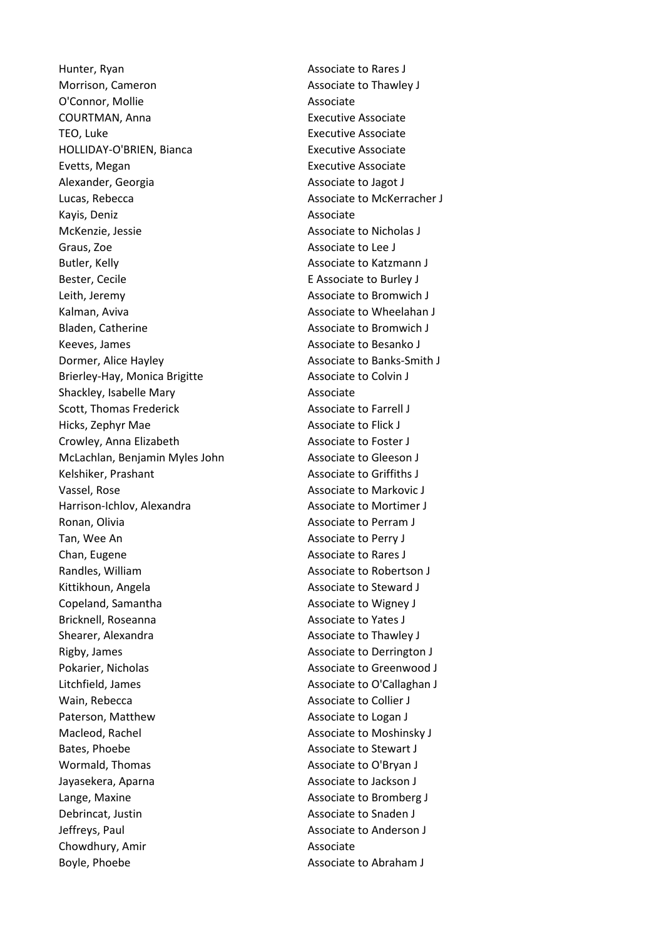Hunter, Ryan Associate to Rares J Morrison, Cameron **Associate to Thawley J** Associate to Thawley J O'Connor, Mollie **Associate** COURTMAN, Anna Executive Associate TEO, Luke **Executive Associate** HOLLIDAY-O'BRIEN, Bianca Executive Associate Evetts, Megan Executive Associate Alexander, Georgia Associate to Jagot J Lucas, Rebecca **Associate to McKerracher J** Associate to McKerracher J Kayis, Deniz **Associate** McKenzie, Jessie **Associate to Nicholas J** Associate to Nicholas J Graus, Zoe **Associate to Lee J** Butler, Kelly **Associate to Katzmann J** Bester, Cecile **EXALC EXACTED** E Associate to Burley J Leith, Jeremy **Associate to Bromwich J** Kalman, Aviva **Associate to Wheelahan J** Bladen, Catherine **Associate to Bromwich J** Associate to Bromwich J Keeves, James **Associate to Besanko J** Dormer, Alice Hayley **Associate to Banks-Smith J** Brierley-Hay, Monica Brigitte Associate to Colvin J Shackley, Isabelle Mary **Associate** Scott, Thomas Frederick Associate to Farrell J Hicks. Zephyr Mae Associate to Flick J Crowley, Anna Elizabeth Associate to Foster J McLachlan, Benjamin Myles John Associate to Gleeson J Kelshiker, Prashant Associate to Griffiths J Vassel, Rose Associate to Markovic J Harrison-Ichlov, Alexandra Associate to Mortimer J Ronan, Olivia Associate to Perram J Tan, Wee An Associate to Perry J Chan, Eugene **Associate to Rares J** Associate to Rares J Randles, William **Associate to Robertson J** Kittikhoun, Angela **Associate to Steward J** Associate to Steward J Copeland, Samantha Associate to Wigney J Bricknell, Roseanna **Associate to Yates J** Associate to Yates J Shearer, Alexandra Associate to Thawley J Rigby, James **Associate to Derrington J** Pokarier, Nicholas **Associate to Greenwood J** Litchfield, James Associate to O'Callaghan J Wain, Rebecca **Associate to Collier J** Associate to Collier J Paterson, Matthew **Associate to Logan J** Macleod, Rachel **Associate to Moshinsky J** Associate to Moshinsky J Bates, Phoebe Associate to Stewart J Wormald, Thomas **Associate to O'Bryan J** Jayasekera, Aparna Associate to Jackson J Lange, Maxine **Associate to Bromberg J** Debrincat, Justin **Associate to Snaden J** Jeffreys, Paul **Associate to Anderson J** Chowdhury, Amir Associate Boyle, Phoebe **Associate to Abraham J** Associate to Abraham J